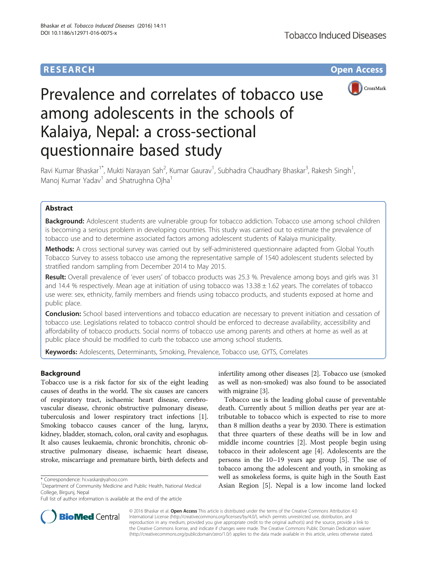# **RESEARCH CHE Open Access**



# Prevalence and correlates of tobacco use among adolescents in the schools of Kalaiya, Nepal: a cross-sectional questionnaire based study

Ravi Kumar Bhaskar<sup>1\*</sup>, Mukti Narayan Sah<sup>2</sup>, Kumar Gaurav<sup>1</sup>, Subhadra Chaudhary Bhaskar<sup>3</sup>, Rakesh Singh<sup>1</sup> , Manoj Kumar Yadav<sup>1</sup> and Shatrughna Ojha<sup>1</sup>

# Abstract

**Background:** Adolescent students are vulnerable group for tobacco addiction. Tobacco use among school children is becoming a serious problem in developing countries. This study was carried out to estimate the prevalence of tobacco use and to determine associated factors among adolescent students of Kalaiya municipality.

Methods: A cross sectional survey was carried out by self-administered questionnaire adapted from Global Youth Tobacco Survey to assess tobacco use among the representative sample of 1540 adolescent students selected by stratified random sampling from December 2014 to May 2015.

Result: Overall prevalence of 'ever users' of tobacco products was 25.3 %. Prevalence among boys and girls was 31 and 14.4 % respectively. Mean age at initiation of using tobacco was  $13.38 \pm 1.62$  years. The correlates of tobacco use were: sex, ethnicity, family members and friends using tobacco products, and students exposed at home and public place.

Conclusion: School based interventions and tobacco education are necessary to prevent initiation and cessation of tobacco use. Legislations related to tobacco control should be enforced to decrease availability, accessibility and affordability of tobacco products. Social norms of tobacco use among parents and others at home as well as at public place should be modified to curb the tobacco use among school students.

Keywords: Adolescents, Determinants, Smoking, Prevalence, Tobacco use, GYTS, Correlates

# Background

Tobacco use is a risk factor for six of the eight leading causes of deaths in the world. The six causes are cancers of respiratory tract, ischaemic heart disease, cerebrovascular disease, chronic obstructive pulmonary disease, tuberculosis and lower respiratory tract infections [[1](#page-6-0)]. Smoking tobacco causes cancer of the lung, larynx, kidney, bladder, stomach, colon, oral cavity and esophagus. It also causes leukaemia, chronic bronchitis, chronic obstructive pulmonary disease, ischaemic heart disease, stroke, miscarriage and premature birth, birth defects and

infertility among other diseases [\[2](#page-6-0)]. Tobacco use (smoked as well as non-smoked) was also found to be associated with migraine [[3\]](#page-6-0).

Tobacco use is the leading global cause of preventable death. Currently about 5 million deaths per year are attributable to tobacco which is expected to rise to more than 8 million deaths a year by 2030. There is estimation that three quarters of these deaths will be in low and middle income countries [[2\]](#page-6-0). Most people begin using tobacco in their adolescent age [\[4](#page-6-0)]. Adolescents are the persons in the 10–19 years age group [[5\]](#page-6-0). The use of tobacco among the adolescent and youth, in smoking as well as smokeless forms, is quite high in the South East Asian Region [\[5](#page-6-0)]. Nepal is a low income land locked



© 2016 Bhaskar et al. Open Access This article is distributed under the terms of the Creative Commons Attribution 4.0 International License [\(http://creativecommons.org/licenses/by/4.0/](http://creativecommons.org/licenses/by/4.0/)), which permits unrestricted use, distribution, and reproduction in any medium, provided you give appropriate credit to the original author(s) and the source, provide a link to the Creative Commons license, and indicate if changes were made. The Creative Commons Public Domain Dedication waiver [\(http://creativecommons.org/publicdomain/zero/1.0/](http://creativecommons.org/publicdomain/zero/1.0/)) applies to the data made available in this article, unless otherwise stated.

<sup>\*</sup> Correspondence: [hi.vaskar@yahoo.com](mailto:hi.vaskar@yahoo.com) <sup>1</sup>

<sup>&</sup>lt;sup>1</sup>Department of Community Medicine and Public Health, National Medical College, Birgunj, Nepal

Full list of author information is available at the end of the article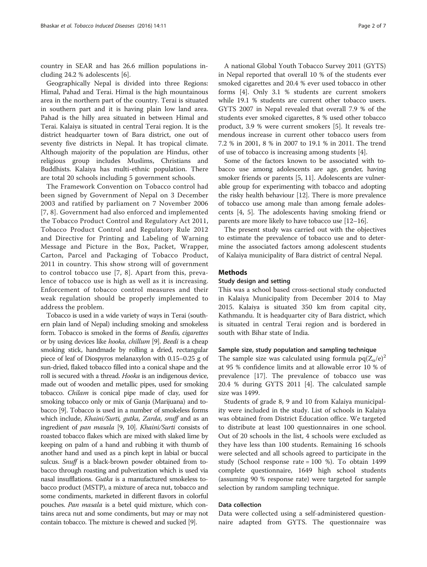country in SEAR and has 26.6 million populations including 24.2 % adolescents [\[6](#page-6-0)].

Geographically Nepal is divided into three Regions: Himal, Pahad and Terai. Himal is the high mountainous area in the northern part of the country. Terai is situated in southern part and it is having plain low land area. Pahad is the hilly area situated in between Himal and Terai. Kalaiya is situated in central Terai region. It is the district headquarter town of Bara district, one out of seventy five districts in Nepal. It has tropical climate. Although majority of the population are Hindus, other religious group includes Muslims, Christians and Buddhists. Kalaiya has multi-ethnic population. There are total 20 schools including 5 government schools.

The Framework Convention on Tobacco control had been signed by Government of Nepal on 3 December 2003 and ratified by parliament on 7 November 2006 [[7](#page-6-0), [8](#page-6-0)]. Government had also enforced and implemented the Tobacco Product Control and Regulatory Act 2011, Tobacco Product Control and Regulatory Rule 2012 and Directive for Printing and Labeling of Warning Message and Picture in the Box, Packet, Wrapper, Carton, Parcel and Packaging of Tobacco Product, 2011 in country. This show strong will of government to control tobacco use [\[7, 8](#page-6-0)]. Apart from this, prevalence of tobacco use is high as well as it is increasing. Enforcement of tobacco control measures and their weak regulation should be properly implemented to address the problem.

Tobacco is used in a wide variety of ways in Terai (southern plain land of Nepal) including smoking and smokeless form. Tobacco is smoked in the forms of Beedis, cigarettes or by using devices like hooka, chillum [\[9\]](#page-6-0). Beedi is a cheap smoking stick, handmade by rolling a dried, rectangular piece of leaf of Diospyros melanaxylon with 0.15–0.25 g of sun-dried, flaked tobacco filled into a conical shape and the roll is secured with a thread. Hooka is an indigenous device, made out of wooden and metallic pipes, used for smoking tobacco. Chilam is conical pipe made of clay, used for smoking tobacco only or mix of Ganja (Marijuana) and tobacco [\[9\]](#page-6-0). Tobacco is used in a number of smokeless forms which include, Khaini/Surti, gutka, Zarda, snuff and as an ingredient of pan masala [\[9](#page-6-0), [10\]](#page-6-0). Khaini/Surti consists of roasted tobacco flakes which are mixed with slaked lime by keeping on palm of a hand and rubbing it with thumb of another hand and used as a pinch kept in labial or buccal sulcus. Snuff is a black-brown powder obtained from tobacco through roasting and pulverization which is used via nasal insufflations. Gutka is a manufactured smokeless tobacco product (MSTP), a mixture of areca nut, tobacco and some condiments, marketed in different flavors in colorful pouches. Pan masala is a betel quid mixture, which contains areca nut and some condiments, but may or may not contain tobacco. The mixture is chewed and sucked [\[9](#page-6-0)].

A national Global Youth Tobacco Survey 2011 (GYTS) in Nepal reported that overall 10 % of the students ever smoked cigarettes and 20.4 % ever used tobacco in other forms [\[4](#page-6-0)]. Only 3.1 % students are current smokers while 19.1 % students are current other tobacco users. GYTS 2007 in Nepal revealed that overall 7.9 % of the students ever smoked cigarettes, 8 % used other tobacco product, 3.9 % were current smokers [[5\]](#page-6-0). It reveals tremendous increase in current other tobacco users from 7.2 % in 2001, 8 % in 2007 to 19.1 % in 2011. The trend of use of tobacco is increasing among students [\[4](#page-6-0)].

Some of the factors known to be associated with tobacco use among adolescents are age, gender, having smoker friends or parents [\[5](#page-6-0), [11\]](#page-6-0). Adolescents are vulnerable group for experimenting with tobacco and adopting the risky health behaviour [[12](#page-6-0)]. There is more prevalence of tobacco use among male than among female adolescents [\[4](#page-6-0), [5](#page-6-0)]. The adolescents having smoking friend or parents are more likely to have tobacco use [\[12](#page-6-0)–[16](#page-6-0)].

The present study was carried out with the objectives to estimate the prevalence of tobacco use and to determine the associated factors among adolescent students of Kalaiya municipality of Bara district of central Nepal.

## Methods

#### Study design and setting

This was a school based cross-sectional study conducted in Kalaiya Municipality from December 2014 to May 2015. Kalaiya is situated 350 km from capital city, Kathmandu. It is headquarter city of Bara district, which is situated in central Terai region and is bordered in south with Bihar state of India.

## Sample size, study population and sampling technique

The sample size was calculated using formula  $pq(Z_\alpha/e)^2$ at 95 % confidence limits and at allowable error 10 % of prevalence [[17](#page-6-0)]. The prevalence of tobacco use was 20.4 % during GYTS 2011 [[4\]](#page-6-0). The calculated sample size was 1499.

Students of grade 8, 9 and 10 from Kalaiya municipality were included in the study. List of schools in Kalaiya was obtained from District Education office. We targeted to distribute at least 100 questionnaires in one school. Out of 20 schools in the list, 4 schools were excluded as they have less than 100 students. Remaining 16 schools were selected and all schools agreed to participate in the study (School response rate = 100 %). To obtain 1499 complete questionnaire, 1649 high school students (assuming 90 % response rate) were targeted for sample selection by random sampling technique.

# Data collection

Data were collected using a self-administered questionnaire adapted from GYTS. The questionnaire was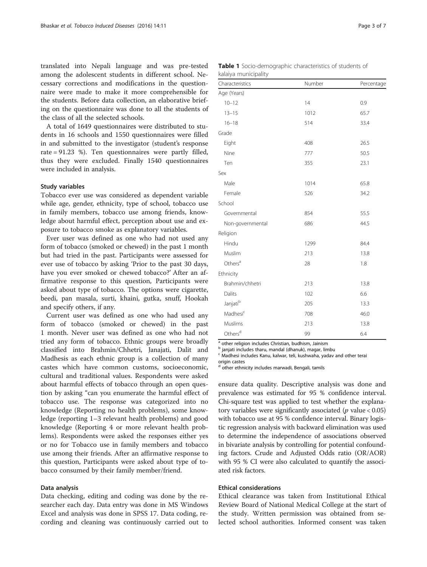<span id="page-2-0"></span>translated into Nepali language and was pre-tested among the adolescent students in different school. Necessary corrections and modifications in the questionnaire were made to make it more comprehensible for the students. Before data collection, an elaborative briefing on the questionnaire was done to all the students of the class of all the selected schools.

A total of 1649 questionnaires were distributed to students in 16 schools and 1550 questionnaires were filled in and submitted to the investigator (student's response rate = 91.23 %). Ten questionnaires were partly filled, thus they were excluded. Finally 1540 questionnaires were included in analysis.

## Study variables

Tobacco ever use was considered as dependent variable while age, gender, ethnicity, type of school, tobacco use in family members, tobacco use among friends, knowledge about harmful effect, perception about use and exposure to tobacco smoke as explanatory variables.

Ever user was defined as one who had not used any form of tobacco (smoked or chewed) in the past 1 month but had tried in the past. Participants were assessed for ever use of tobacco by asking 'Prior to the past 30 days, have you ever smoked or chewed tobacco?' After an affirmative response to this question, Participants were asked about type of tobacco. The options were cigarette, beedi, pan masala, surti, khaini, gutka, snuff, Hookah and specify others, if any.

Current user was defined as one who had used any form of tobacco (smoked or chewed) in the past 1 month. Never user was defined as one who had not tried any form of tobacco. Ethnic groups were broadly classified into Brahmin/Chhetri, Janajati, Dalit and Madhesis as each ethnic group is a collection of many castes which have common customs, socioeconomic, cultural and traditional values. Respondents were asked about harmful effects of tobacco through an open question by asking "can you enumerate the harmful effect of tobacco use. The response was categorized into no knowledge (Reporting no health problems), some knowledge (reporting 1–3 relevant health problems) and good knowledge (Reporting 4 or more relevant health problems). Respondents were asked the responses either yes or no for Tobacco use in family members and tobacco use among their friends. After an affirmative response to this question, Participants were asked about type of tobacco consumed by their family member/friend.

# Data analysis

Data checking, editing and coding was done by the researcher each day. Data entry was done in MS Windows Excel and analysis was done in SPSS 17. Data coding, recording and cleaning was continuously carried out to

| <b>Table 1</b> Socio-demographic characteristics of students of |  |  |
|-----------------------------------------------------------------|--|--|
| kalaiya municipality                                            |  |  |

| Characteristics      | Number | Percentage |
|----------------------|--------|------------|
| Age (Years)          |        |            |
| $10 - 12$            | 14     | 0.9        |
| $13 - 15$            | 1012   | 65.7       |
| $16 - 18$            | 514    | 33.4       |
| Grade                |        |            |
| Eight                | 408    | 26.5       |
| Nine                 | 777    | 50.5       |
| Ten                  | 355    | 23.1       |
| Sex                  |        |            |
| Male                 | 1014   | 65.8       |
| Female               | 526    | 34.2       |
| School               |        |            |
| Governmental         | 854    | 55.5       |
| Non-governmental     | 686    | 44.5       |
| Religion             |        |            |
| Hindu                | 1299   | 84.4       |
| Muslim               | 213    | 13.8       |
| Others <sup>a</sup>  | 28     | 1.8        |
| Ethnicity            |        |            |
| Brahmin/chhetri      | 213    | 13.8       |
| Dalits               | 102    | 6.6        |
| Janjatib             | 205    | 13.3       |
| Madhesi <sup>c</sup> | 708    | 46.0       |
| Muslims              | 213    | 13.8       |
| Others <sup>d</sup>  | 99     | 6.4        |

<sup>a</sup> other religion includes Christian, budhism, Jainism

<sup>b</sup> janjati includes tharu, mandal (dhanuk), magar, limbu

<sup>c</sup> Madhesi includes Kanu, kalwar, teli, kushwaha, yadav and other terai

origin castes

d other ethnicity includes marwadi, Bengali, tamils

ensure data quality. Descriptive analysis was done and prevalence was estimated for 95 % confidence interval. Chi-square test was applied to test whether the explanatory variables were significantly associated ( $p$  value < 0.05) with tobacco use at 95 % confidence interval. Binary logistic regression analysis with backward elimination was used to determine the independence of associations observed in bivariate analysis by controlling for potential confounding factors. Crude and Adjusted Odds ratio (OR/AOR) with 95 % CI were also calculated to quantify the associated risk factors.

# Ethical considerations

Ethical clearance was taken from Institutional Ethical Review Board of National Medical College at the start of the study. Written permission was obtained from selected school authorities. Informed consent was taken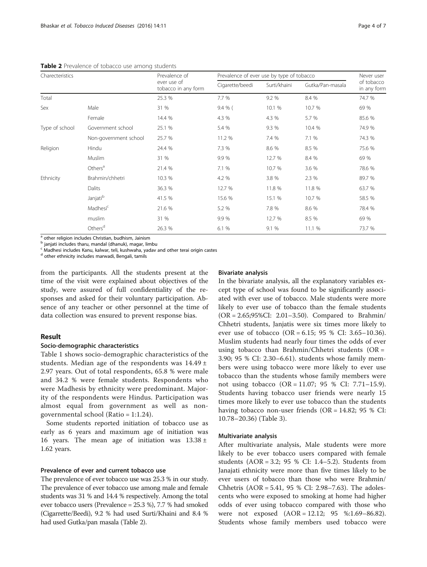| Charecteristics |                       | Prevalence of<br>ever use of<br>tobacco in any form | Prevalence of ever use by type of tobacco |              |                  | Never user                |
|-----------------|-----------------------|-----------------------------------------------------|-------------------------------------------|--------------|------------------|---------------------------|
|                 |                       |                                                     | Cigarette/beedi                           | Surti/khaini | Gutka/Pan-masala | of tobacco<br>in any form |
| Total           |                       | 25.3 %                                              | 7.7 %                                     | 9.2 %        | 8.4 %            | 74.7 %                    |
| Sex             | Male                  | 31 %                                                | 9.4 % (                                   | 10.1 %       | 10.7 %           | 69 %                      |
|                 | Female                | 14.4 %                                              | 4.3 %                                     | 4.3 %        | 5.7 %            | 85.6 %                    |
| Type of school  | Government school     | 25.1 %                                              | 5.4 %                                     | 9.3 %        | 10.4 %           | 74.9 %                    |
|                 | Non-government school | 25.7 %                                              | 11.2 %                                    | 7.4 %        | 7.1 %            | 74.3 %                    |
| Religion        | Hindu                 | 24.4 %                                              | 7.3 %                                     | 8.6 %        | 8.5 %            | 75.6 %                    |
|                 | Muslim                | 31 %                                                | 9.9%                                      | 12.7 %       | 8.4 %            | 69 %                      |
|                 | Others <sup>a</sup>   | 21.4 %                                              | 7.1 %                                     | 10.7 %       | 3.6 %            | 78.6 %                    |
| Ethnicity       | Brahmin/chhetri       | 10.3 %                                              | 4.2 %                                     | 3.8 %        | 2.3 %            | 89.7 %                    |
|                 | Dalits                | 36.3 %                                              | 12.7 %                                    | 11.8 %       | 11.8 %           | 63.7 %                    |
|                 | Janjati <sup>b</sup>  | 41.5 %                                              | 15.6 %                                    | 15.1 %       | 10.7 %           | 58.5 %                    |
|                 | Madhesi <sup>c</sup>  | 21.6 %                                              | 5.2 %                                     | 7.8 %        | 8.6 %            | 78.4 %                    |
|                 | muslim                | 31 %                                                | 9.9%                                      | 12.7 %       | 8.5 %            | 69 %                      |
|                 | Others <sup>d</sup>   | 26.3 %                                              | 6.1 %                                     | 9.1 %        | 11.1 %           | 73.7 %                    |

Table 2 Prevalence of tobacco use among students

a other religion includes Christian, budhism, Jainism

<sup>b</sup> janjati includes tharu, mandal (dhanuk), magar, limbu

 $\epsilon$  Madhesi includes Kanu, kalwar, teli, kushwaha, yadav and other terai origin castes

 $^{\text{d}}$  other ethnicity includes marwadi, Bengali, tamils

from the participants. All the students present at the time of the visit were explained about objectives of the study, were assured of full confidentiality of the responses and asked for their voluntary participation. Absence of any teacher or other personnel at the time of data collection was ensured to prevent response bias.

## Result

#### Socio-demographic characteristics

Table [1](#page-2-0) shows socio-demographic characteristics of the students. Median age of the respondents was 14.49 ± 2.97 years. Out of total respondents, 65.8 % were male and 34.2 % were female students. Respondents who were Madhesis by ethnicity were predominant. Majority of the respondents were Hindus. Participation was almost equal from government as well as nongovernmental school (Ratio = 1:1.24).

Some students reported initiation of tobacco use as early as 6 years and maximum age of initiation was 16 years. The mean age of initiation was  $13.38 \pm 10^{-10}$ 1.62 years.

# Prevalence of ever and current tobacco use

The prevalence of ever tobacco use was 25.3 % in our study. The prevalence of ever tobacco use among male and female students was 31 % and 14.4 % respectively. Among the total ever tobacco users (Prevalence = 25.3 %), 7.7 % had smoked (Cigarrette/Beedi), 9.2 % had used Surti/Khaini and 8.4 % had used Gutka/pan masala (Table 2).

## Bivariate analysis

In the bivariate analysis, all the explanatory variables except type of school was found to be significantly associated with ever use of tobacco. Male students were more likely to ever use of tobacco than the female students (OR = 2.65;95%CI: 2.01–3.50). Compared to Brahmin/ Chhetri students, Janjatis were six times more likely to ever use of tobacco (OR = 6.15; 95 % CI: 3.65–10.36). Muslim students had nearly four times the odds of ever using tobacco than Brahmin/Chhetri students (OR = 3.90; 95 % CI: 2.30–6.61). students whose family members were using tobacco were more likely to ever use tobacco than the students whose family members were not using tobacco (OR = 11.07; 95 % CI: 7.71–15.9). Students having tobacco user friends were nearly 15 times more likely to ever use tobacco than the students having tobacco non-user friends (OR =  $14.82$ ; 95 % CI: 10.78–20.36) (Table [3\)](#page-4-0).

#### Multivariate analysis

After multivariate analysis, Male students were more likely to be ever tobacco users compared with female students (AOR = 3.2; 95 % CI: 1.4–5.2). Students from Janajati ethnicity were more than five times likely to be ever users of tobacco than those who were Brahmin/ Chhetris (AOR = 5.41, 95 % CI: 2.98–7.63). The adolescents who were exposed to smoking at home had higher odds of ever using tobacco compared with those who were not exposed (AOR = 12.12; 95 %:1.69–86.82). Students whose family members used tobacco were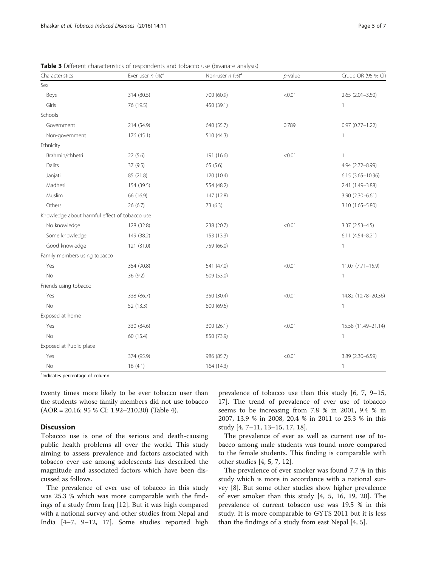| Characteristics                               | Ever user $n$ (%) <sup>a</sup> | Non-user $n$ (%) <sup>a</sup> | $p$ -value | Crude OR (95 % CI)   |
|-----------------------------------------------|--------------------------------|-------------------------------|------------|----------------------|
| Sex                                           |                                |                               |            |                      |
| Boys                                          | 314 (80.5)                     | 700 (60.9)                    | < 0.01     | $2.65(2.01 - 3.50)$  |
| Girls                                         | 76 (19.5)                      | 450 (39.1)                    |            | 1                    |
| Schools                                       |                                |                               |            |                      |
| Government                                    | 214 (54.9)                     | 640 (55.7)                    | 0.789      | $0.97(0.77 - 1.22)$  |
| Non-government                                | 176 (45.1)                     | 510 (44.3)                    |            | $\mathbf{1}$         |
| Ethnicity                                     |                                |                               |            |                      |
| Brahmin/chhetri                               | 22(5.6)                        | 191 (16.6)                    | < 0.01     | 1                    |
| Dalits                                        | 37 (9.5)                       | 65(5.6)                       |            | 4.94 (2.72-8.99)     |
| Janjati                                       | 85 (21.8)                      | 120 (10.4)                    |            | $6.15(3.65 - 10.36)$ |
| Madhesi                                       | 154 (39.5)                     | 554 (48.2)                    |            | 2.41 (1.49-3.88)     |
| Muslim                                        | 66 (16.9)                      | 147 (12.8)                    |            | 3.90 (2.30-6.61)     |
| Others                                        | 26(6.7)                        | 73 (6.3)                      |            | $3.10(1.65 - 5.80)$  |
| Knowledge about harmful effect of tobacco use |                                |                               |            |                      |
| No knowledge                                  | 128 (32.8)                     | 238 (20.7)                    | < 0.01     | $3.37(2.53 - 4.5)$   |
| Some knowledge                                | 149 (38.2)                     | 153 (13.3)                    |            | 6.11 (4.54-8.21)     |
| Good knowledge                                | 121 (31.0)                     | 759 (66.0)                    |            | $\mathbf{1}$         |
| Family members using tobacco                  |                                |                               |            |                      |
| Yes                                           | 354 (90.8)                     | 541 (47.0)                    | < 0.01     | $11.07(7.71 - 15.9)$ |
| <b>No</b>                                     | 36 (9.2)                       | 609 (53.0)                    |            | $\mathbf{1}$         |
| Friends using tobacco                         |                                |                               |            |                      |
| Yes                                           | 338 (86.7)                     | 350 (30.4)                    | < 0.01     | 14.82 (10.78-20.36)  |
| <b>No</b>                                     | 52 (13.3)                      | 800 (69.6)                    |            | $\mathbf{1}$         |
| Exposed at home                               |                                |                               |            |                      |
| Yes                                           | 330 (84.6)                     | 300 (26.1)                    | < 0.01     | 15.58 (11.49-21.14)  |
| <b>No</b>                                     | 60 (15.4)                      | 850 (73.9)                    |            | $\mathbf{1}$         |
| Exposed at Public place                       |                                |                               |            |                      |
| Yes                                           | 374 (95.9)                     | 986 (85.7)                    | < 0.01     | 3.89 (2.30-6.59)     |
| No                                            | 16(4.1)                        | 164 (14.3)                    |            | $\mathbf{1}$         |

<span id="page-4-0"></span>**Table 3** Different characteristics of respondents and tobacco use (bivariate analysis)

<sup>a</sup>Indicates percentage of column

twenty times more likely to be ever tobacco user than the students whose family members did not use tobacco (AOR = 20.16; 95 % CI: 1.92–210.30) (Table [4](#page-5-0)).

# **Discussion**

Tobacco use is one of the serious and death-causing public health problems all over the world. This study aiming to assess prevalence and factors associated with tobacco ever use among adolescents has described the magnitude and associated factors which have been discussed as follows.

The prevalence of ever use of tobacco in this study was 25.3 % which was more comparable with the findings of a study from Iraq [[12\]](#page-6-0). But it was high compared with a national survey and other studies from Nepal and India [[4](#page-6-0)–[7, 9](#page-6-0)–[12, 17\]](#page-6-0). Some studies reported high

prevalence of tobacco use than this study [\[6](#page-6-0), [7, 9](#page-6-0)–[15](#page-6-0), [17\]](#page-6-0). The trend of prevalence of ever use of tobacco seems to be increasing from 7.8 % in 2001, 9.4 % in 2007, 13.9 % in 2008, 20.4 % in 2011 to 25.3 % in this study [[4, 7](#page-6-0)–[11](#page-6-0), [13](#page-6-0)–[15](#page-6-0), [17, 18\]](#page-6-0).

The prevalence of ever as well as current use of tobacco among male students was found more compared to the female students. This finding is comparable with other studies [[4, 5, 7, 12](#page-6-0)].

The prevalence of ever smoker was found 7.7 % in this study which is more in accordance with a national survey [\[8\]](#page-6-0). But some other studies show higher prevalence of ever smoker than this study [[4, 5, 16](#page-6-0), [19, 20](#page-6-0)]. The prevalence of current tobacco use was 19.5 % in this study. It is more comparable to GYTS 2011 but it is less than the findings of a study from east Nepal [\[4](#page-6-0), [5](#page-6-0)].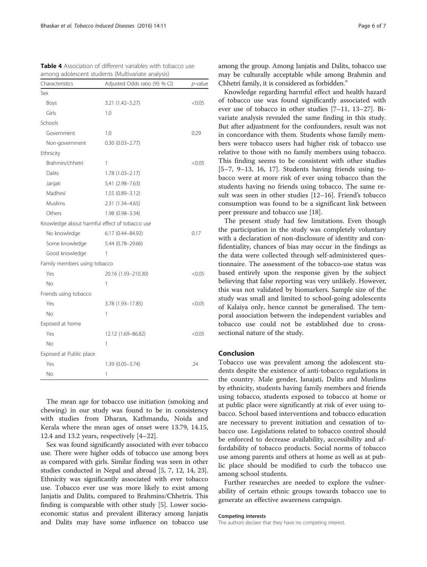<span id="page-5-0"></span>

| Table 4 Association of different variables with tobacco use |  |
|-------------------------------------------------------------|--|
| among adolescent students (Multivariate analysis)           |  |

| Characteristics              | Adjusted Odds ratio (95 % CI)                 | p-value |
|------------------------------|-----------------------------------------------|---------|
| Sex                          |                                               |         |
| Boys                         | 3.21 (1.42-5.27)                              | < 0.05  |
| Girls                        | 1.0                                           |         |
| Schools                      |                                               |         |
| Government                   | 1.0                                           | 0.29    |
| Non-government               | $0.30(0.03 - 2.77)$                           |         |
| Ethnicity                    |                                               |         |
| Brahmin/chhetri              | 1                                             | < 0.05  |
| Dalits                       | $1.78(1.03 - 2.17)$                           |         |
| Janjati                      | 5.41 (2.98-7.63)                              |         |
| Madhesi                      | 1.55 (0.89-3.12)                              |         |
| Muslims                      | 2.31 (1.34-4.65)                              |         |
| Others                       | 1.98 (0.98-3.34)                              |         |
|                              | Knowledge about harmful effect of tobacco use |         |
| No knowledge                 | 6.17 (0.44-84.92)                             | 0.17    |
| Some knowledge               | 5.44 (0.78-29.66)                             |         |
| Good knowledge               | 1                                             |         |
| Family members using tobacco |                                               |         |
| Yes                          | 20.16 (1.93-210.30)                           | < 0.05  |
| No                           | 1                                             |         |
| Friends using tobacco        |                                               |         |
| Yes                          | 3.78 (1.93-17.85)                             | < 0.05  |
| No                           | 1                                             |         |
| Exposed at home              |                                               |         |
| Yes                          | 12.12 (1.69-86.82)                            | < 0.05  |
| No                           | 1                                             |         |
| Exposed at Public place      |                                               |         |
| Yes                          | 1.39 (0.05-3.74)                              | .24     |
| No                           | 1                                             |         |

The mean age for tobacco use initiation (smoking and chewing) in our study was found to be in consistency with studies from Dharan, Kathmandu, Noida and Kerala where the mean ages of onset were 13.79, 14.15, 12.4 and 13.2 years, respectively [[4](#page-6-0)–[22\]](#page-6-0).

Sex was found significantly associated with ever tobacco use. There were higher odds of tobacco use among boys as compared with girls. Similar finding was seen in other studies conducted in Nepal and abroad [\[5](#page-6-0), [7](#page-6-0), [12, 14](#page-6-0), [23](#page-6-0)]. Ethnicity was significantly associated with ever tobacco use. Tobacco ever use was more likely to exist among Janjatis and Dalits, compared to Brahmins/Chhetris. This finding is comparable with other study [[5\]](#page-6-0). Lower socioeconomic status and prevalent illiteracy among Janjatis and Dalits may have some influence on tobacco use among the group. Among Janjatis and Dalits, tobacco use may be culturally acceptable while among Brahmin and Chhetri family, it is considered as forbidden."

Knowledge regarding harmful effect and health hazard of tobacco use was found significantly associated with ever use of tobacco in other studies [[7](#page-6-0)–[11](#page-6-0), [13](#page-6-0)–[27](#page-6-0)]. Bivariate analysis revealed the same finding in this study. But after adjustment for the confounders, result was not in concordance with them. Students whose family members were tobacco users had higher risk of tobacco use relative to those with no family members using tobacco. This finding seems to be consistent with other studies [[5](#page-6-0)–[7, 9](#page-6-0)–[13](#page-6-0), [16](#page-6-0), [17\]](#page-6-0). Students having friends using tobacco were at more risk of ever using tobacco than the students having no friends using tobacco. The same result was seen in other studies [[12](#page-6-0)–[16](#page-6-0)]. Friend's tobacco consumption was found to be a significant link between peer pressure and tobacco use [[18\]](#page-6-0).

The present study had few limitations. Even though the participation in the study was completely voluntary with a declaration of non-disclosure of identity and confidentiality, chances of bias may occur in the findings as the data were collected through self-administered questionnaire. The assessment of the tobacco-use status was based entirely upon the response given by the subject believing that false reporting was very unlikely. However, this was not validated by biomarkers. Sample size of the study was small and limited to school-going adolescents of Kalaiya only, hence cannot be generalised. The temporal association between the independent variables and tobacco use could not be established due to crosssectional nature of the study.

# Conclusion

Tobacco use was prevalent among the adolescent students despite the existence of anti-tobacco regulations in the country. Male gender, Janajati, Dalits and Muslims by ethnicity, students having family members and friends using tobacco, students exposed to tobacco at home or at public place were significantly at risk of ever using tobacco. School based interventions and tobacco education are necessary to prevent initiation and cessation of tobacco use. Legislations related to tobacco control should be enforced to decrease availability, accessibility and affordability of tobacco products. Social norms of tobacco use among parents and others at home as well as at public place should be modified to curb the tobacco use among school students.

Further researches are needed to explore the vulnerability of certain ethnic groups towards tobacco use to generate an effective awareness campaign.

#### Competing interests

The authors declare that they have no competing interest.